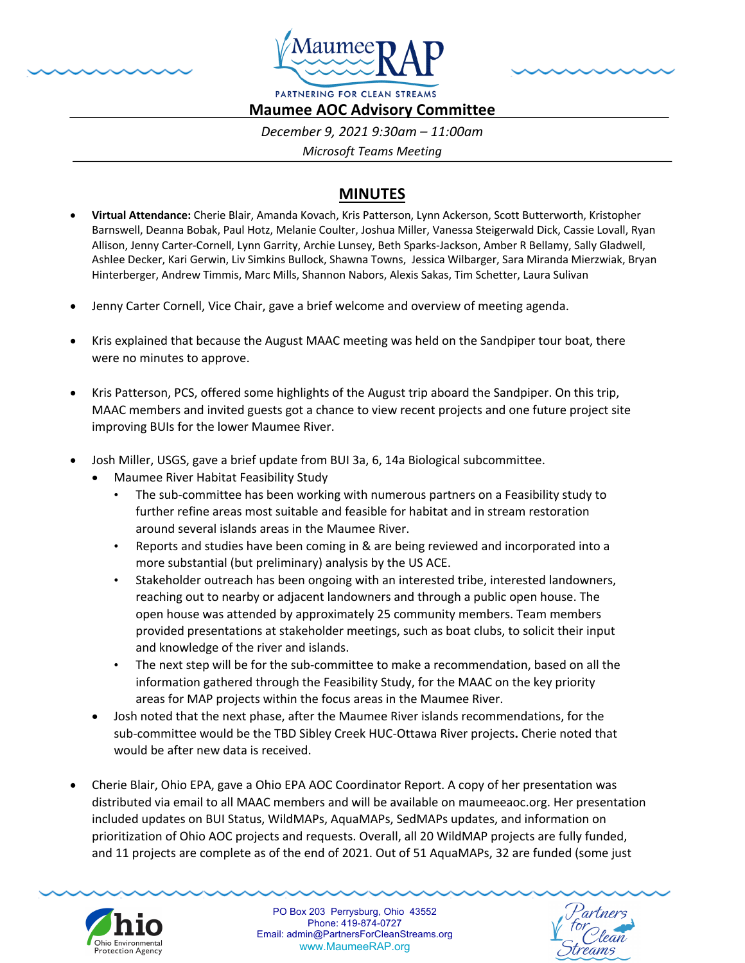



PARTNERING FOR CLEAN STREAMS **Maumee AOC Advisory Committee** 

*December 9, 2021 9:30am – 11:00am*

*Microsoft Teams Meeting*

## **MINUTES**

- **Virtual Attendance:** Cherie Blair, Amanda Kovach, Kris Patterson, Lynn Ackerson, Scott Butterworth, Kristopher Barnswell, Deanna Bobak, Paul Hotz, Melanie Coulter, Joshua Miller, Vanessa Steigerwald Dick, Cassie Lovall, Ryan Allison, Jenny Carter-Cornell, Lynn Garrity, Archie Lunsey, Beth Sparks-Jackson, Amber R Bellamy, Sally Gladwell, Ashlee Decker, Kari Gerwin, Liv Simkins Bullock, Shawna Towns, Jessica Wilbarger, Sara Miranda Mierzwiak, Bryan Hinterberger, Andrew Timmis, Marc Mills, Shannon Nabors, Alexis Sakas, Tim Schetter, Laura Sulivan
- Jenny Carter Cornell, Vice Chair, gave a brief welcome and overview of meeting agenda.
- Kris explained that because the August MAAC meeting was held on the Sandpiper tour boat, there were no minutes to approve.
- Kris Patterson, PCS, offered some highlights of the August trip aboard the Sandpiper. On this trip, MAAC members and invited guests got a chance to view recent projects and one future project site improving BUIs for the lower Maumee River.
- Josh Miller, USGS, gave a brief update from BUI 3a, 6, 14a Biological subcommittee.
	- Maumee River Habitat Feasibility Study
		- The sub-committee has been working with numerous partners on a Feasibility study to further refine areas most suitable and feasible for habitat and in stream restoration around several islands areas in the Maumee River.
		- Reports and studies have been coming in & are being reviewed and incorporated into a more substantial (but preliminary) analysis by the US ACE.
		- Stakeholder outreach has been ongoing with an interested tribe, interested landowners, reaching out to nearby or adjacent landowners and through a public open house. The open house was attended by approximately 25 community members. Team members provided presentations at stakeholder meetings, such as boat clubs, to solicit their input and knowledge of the river and islands.
		- The next step will be for the sub-committee to make a recommendation, based on all the information gathered through the Feasibility Study, for the MAAC on the key priority areas for MAP projects within the focus areas in the Maumee River.
	- Josh noted that the next phase, after the Maumee River islands recommendations, for the sub-committee would be the TBD Sibley Creek HUC-Ottawa River projects**.** Cherie noted that would be after new data is received.
- Cherie Blair, Ohio EPA, gave a Ohio EPA AOC Coordinator Report. A copy of her presentation was distributed via email to all MAAC members and will be available on maumeeaoc.org. Her presentation included updates on BUI Status, WildMAPs, AquaMAPs, SedMAPs updates, and information on prioritization of Ohio AOC projects and requests. Overall, all 20 WildMAP projects are fully funded, and 11 projects are complete as of the end of 2021. Out of 51 AquaMAPs, 32 are funded (some just



PO Box 203 Perrysburg, Ohio 43552 Phone: 419-874-0727 Email: admin@PartnersForCleanStreams.org www.MaumeeRAP.org

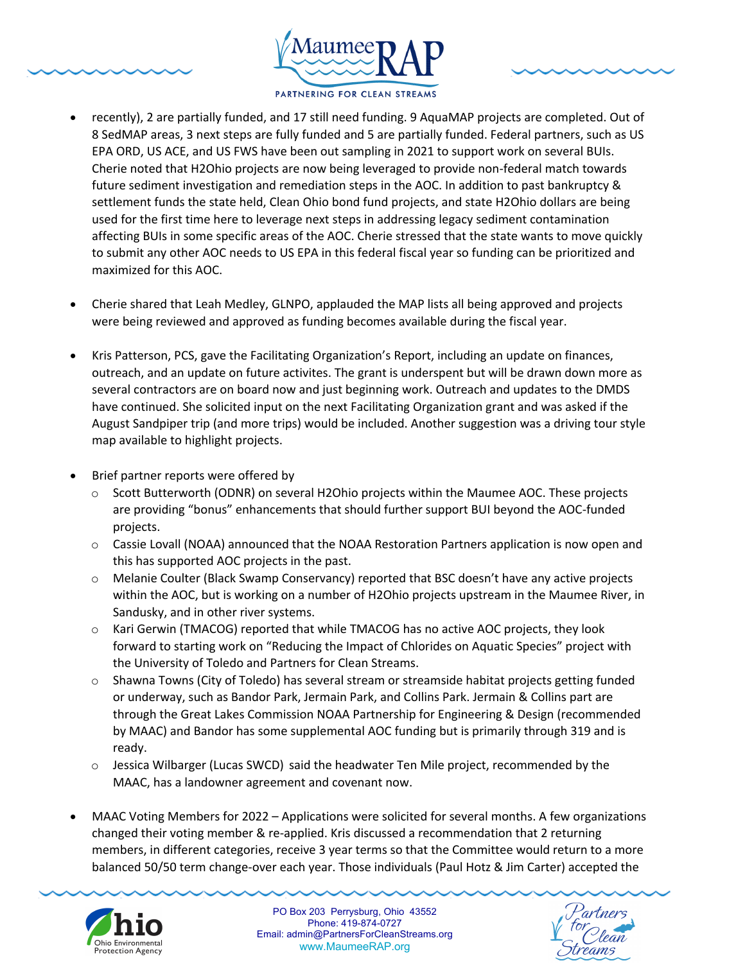



- used for the first time here to leverage next steps in addressing legacy sediment contamination affecting BUIs in some specific areas of the AOC. Cherie stressed that the state wants to move quickly to submit any other AOC needs to US EPA in this federal fiscal year so funding can be prioritized and maximized for this AOC.
- Cherie shared that Leah Medley, GLNPO, applauded the MAP lists all being approved and projects were being reviewed and approved as funding becomes available during the fiscal year.
- Kris Patterson, PCS, gave the Facilitating Organization's Report, including an update on finances, outreach, and an update on future activites. The grant is underspent but will be drawn down more as several contractors are on board now and just beginning work. Outreach and updates to the DMDS have continued. She solicited input on the next Facilitating Organization grant and was asked if the August Sandpiper trip (and more trips) would be included. Another suggestion was a driving tour style map available to highlight projects.
- Brief partner reports were offered by
	- o Scott Butterworth (ODNR) on several H2Ohio projects within the Maumee AOC. These projects are providing "bonus" enhancements that should further support BUI beyond the AOC-funded projects.
	- $\circ$  Cassie Lovall (NOAA) announced that the NOAA Restoration Partners application is now open and this has supported AOC projects in the past.
	- o Melanie Coulter (Black Swamp Conservancy) reported that BSC doesn't have any active projects within the AOC, but is working on a number of H2Ohio projects upstream in the Maumee River, in Sandusky, and in other river systems.
	- $\circ$  Kari Gerwin (TMACOG) reported that while TMACOG has no active AOC projects, they look forward to starting work on "Reducing the Impact of Chlorides on Aquatic Species" project with the University of Toledo and Partners for Clean Streams.
	- o Shawna Towns (City of Toledo) has several stream or streamside habitat projects getting funded or underway, such as Bandor Park, Jermain Park, and Collins Park. Jermain & Collins part are through the Great Lakes Commission NOAA Partnership for Engineering & Design (recommended by MAAC) and Bandor has some supplemental AOC funding but is primarily through 319 and is ready.
	- o Jessica Wilbarger (Lucas SWCD) said the headwater Ten Mile project, recommended by the MAAC, has a landowner agreement and covenant now.
- MAAC Voting Members for 2022 Applications were solicited for several months. A few organizations changed their voting member & re-applied. Kris discussed a recommendation that 2 returning members, in different categories, receive 3 year terms so that the Committee would return to a more balanced 50/50 term change-over each year. Those individuals (Paul Hotz & Jim Carter) accepted the